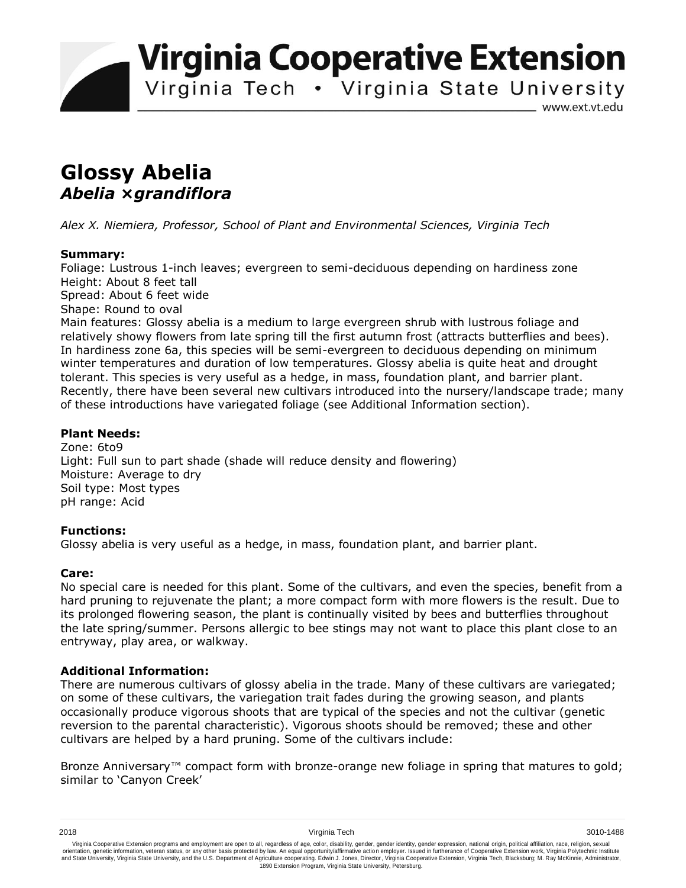**Virginia Cooperative Extension** 

Virginia Tech . Virginia State University

www.ext.vt.edu

# **Glossy Abelia**  *Abelia* **×***grandiflora*

*Alex X. Niemiera, Professor, School of Plant and Environmental Sciences, Virginia Tech*

## **Summary:**

Foliage: Lustrous 1-inch leaves; evergreen to semi-deciduous depending on hardiness zone Height: About 8 feet tall Spread: About 6 feet wide Shape: Round to oval Main features: Glossy abelia is a medium to large evergreen shrub with lustrous foliage and

relatively showy flowers from late spring till the first autumn frost (attracts butterflies and bees). In hardiness zone 6a, this species will be semi-evergreen to deciduous depending on minimum winter temperatures and duration of low temperatures. Glossy abelia is quite heat and drought tolerant. This species is very useful as a hedge, in mass, foundation plant, and barrier plant. Recently, there have been several new cultivars introduced into the nursery/landscape trade; many of these introductions have variegated foliage (see Additional Information section).

## **Plant Needs:**

Zone: 6to9 Light: Full sun to part shade (shade will reduce density and flowering) Moisture: Average to dry Soil type: Most types pH range: Acid

## **Functions:**

Glossy abelia is very useful as a hedge, in mass, foundation plant, and barrier plant.

## **Care:**

No special care is needed for this plant. Some of the cultivars, and even the species, benefit from a hard pruning to rejuvenate the plant; a more compact form with more flowers is the result. Due to its prolonged flowering season, the plant is continually visited by bees and butterflies throughout the late spring/summer. Persons allergic to bee stings may not want to place this plant close to an entryway, play area, or walkway.

## **Additional Information:**

There are numerous cultivars of glossy abelia in the trade. Many of these cultivars are variegated; on some of these cultivars, the variegation trait fades during the growing season, and plants occasionally produce vigorous shoots that are typical of the species and not the cultivar (genetic reversion to the parental characteristic). Vigorous shoots should be removed; these and other cultivars are helped by a hard pruning. Some of the cultivars include:

Bronze Anniversary™ compact form with bronze-orange new foliage in spring that matures to gold; similar to 'Canyon Creek'